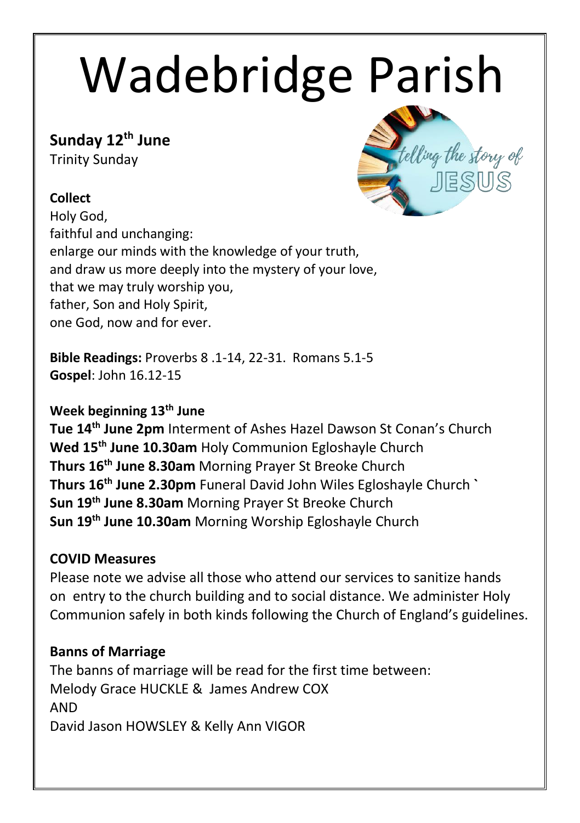# Wadebridge Parish

## **Sunday 12th June**

Trinity Sunday

## **Collect**

Holy God, faithful and unchanging: enlarge our minds with the knowledge of your truth, and draw us more deeply into the mystery of your love, that we may truly worship you, father, Son and Holy Spirit, one God, now and for ever.

**Bible Readings:** Proverbs 8 .1-14, 22-31. Romans 5.1-5 **Gospel**: John 16.12-15

## **Week beginning 13th June**

**Tue 14th June 2pm** Interment of Ashes Hazel Dawson St Conan's Church **Wed 15th June 10.30am** Holy Communion Egloshayle Church **Thurs 16th June 8.30am** Morning Prayer St Breoke Church **Thurs 16th June 2.30pm** Funeral David John Wiles Egloshayle Church **` Sun 19th June 8.30am** Morning Prayer St Breoke Church **Sun 19th June 10.30am** Morning Worship Egloshayle Church

## **COVID Measures**

Please note we advise all those who attend our services to sanitize hands on entry to the church building and to social distance. We administer Holy Communion safely in both kinds following the Church of England's guidelines.

## **Banns of Marriage**

The banns of marriage will be read for the first time between: Melody Grace HUCKLE & James Andrew COX AND David Jason HOWSLEY & Kelly Ann VIGOR